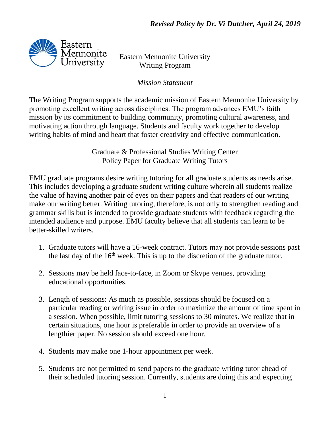

Eastern Mennonite University Writing Program

*Mission Statement*

The Writing Program supports the academic mission of Eastern Mennonite University by promoting excellent writing across disciplines. The program advances EMU's faith mission by its commitment to building community, promoting cultural awareness, and motivating action through language. Students and faculty work together to develop writing habits of mind and heart that foster creativity and effective communication.

> Graduate & Professional Studies Writing Center Policy Paper for Graduate Writing Tutors

EMU graduate programs desire writing tutoring for all graduate students as needs arise. This includes developing a graduate student writing culture wherein all students realize the value of having another pair of eyes on their papers and that readers of our writing make our writing better. Writing tutoring, therefore, is not only to strengthen reading and grammar skills but is intended to provide graduate students with feedback regarding the intended audience and purpose. EMU faculty believe that all students can learn to be better-skilled writers.

- 1. Graduate tutors will have a 16-week contract. Tutors may not provide sessions past the last day of the  $16<sup>th</sup>$  week. This is up to the discretion of the graduate tutor.
- 2. Sessions may be held face-to-face, in Zoom or Skype venues, providing educational opportunities.
- 3. Length of sessions: As much as possible, sessions should be focused on a particular reading or writing issue in order to maximize the amount of time spent in a session. When possible, limit tutoring sessions to 30 minutes. We realize that in certain situations, one hour is preferable in order to provide an overview of a lengthier paper. No session should exceed one hour.
- 4. Students may make one 1-hour appointment per week.
- 5. Students are not permitted to send papers to the graduate writing tutor ahead of their scheduled tutoring session. Currently, students are doing this and expecting